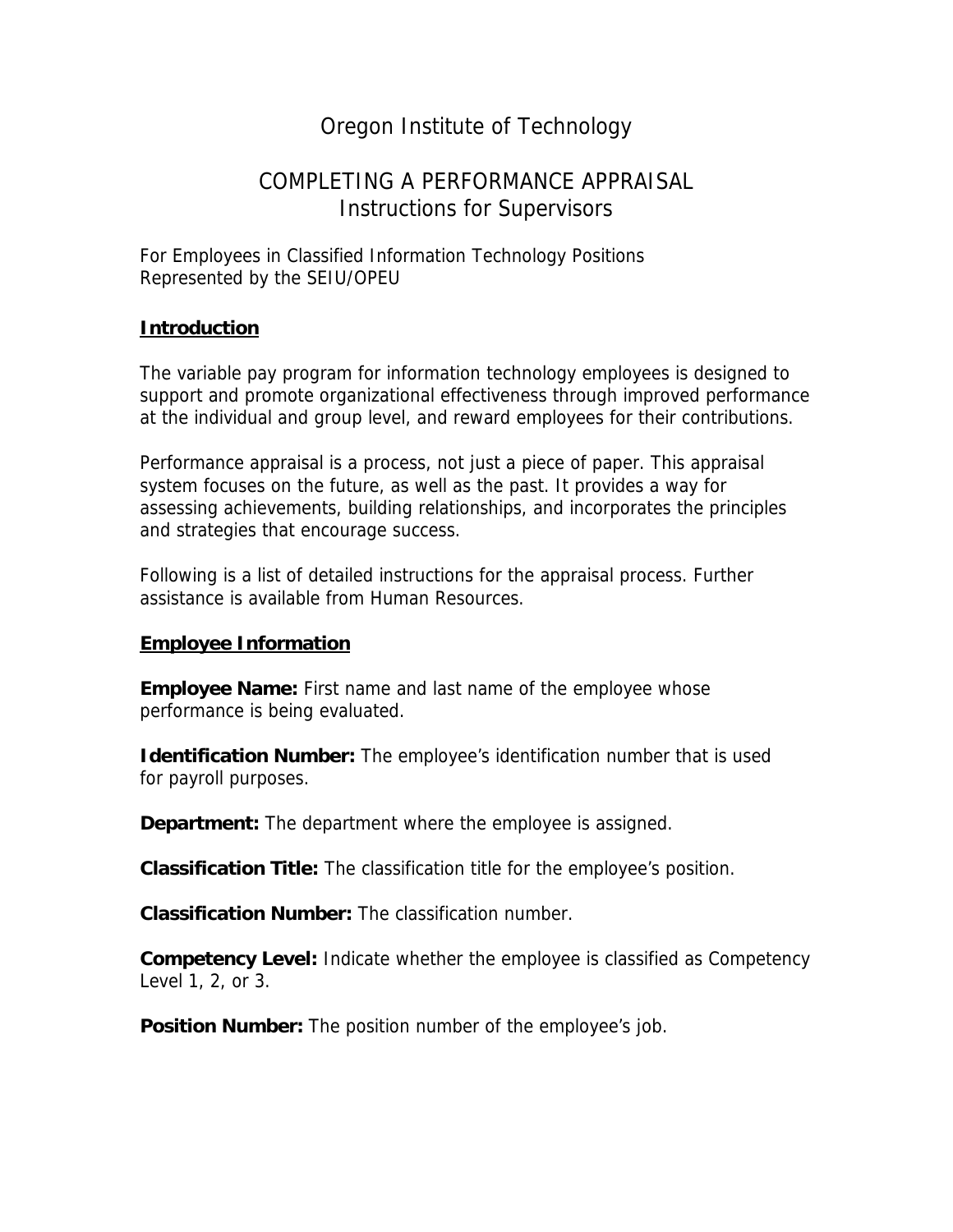# Oregon Institute of Technology

# COMPLETING A PERFORMANCE APPRAISAL Instructions for Supervisors

For Employees in Classified Information Technology Positions Represented by the SEIU/OPEU

#### **Introduction**

The variable pay program for information technology employees is designed to support and promote organizational effectiveness through improved performance at the individual and group level, and reward employees for their contributions.

Performance appraisal is a process, not just a piece of paper. This appraisal system focuses on the future, as well as the past. It provides a way for assessing achievements, building relationships, and incorporates the principles and strategies that encourage success.

Following is a list of detailed instructions for the appraisal process. Further assistance is available from Human Resources.

#### **Employee Information**

**Employee Name:** First name and last name of the employee whose performance is being evaluated.

**Identification Number:** The employee's identification number that is used for payroll purposes.

**Department:** The department where the employee is assigned.

**Classification Title:** The classification title for the employee's position.

**Classification Number:** The classification number.

**Competency Level:** Indicate whether the employee is classified as Competency Level 1, 2, or 3.

**Position Number:** The position number of the employee's job.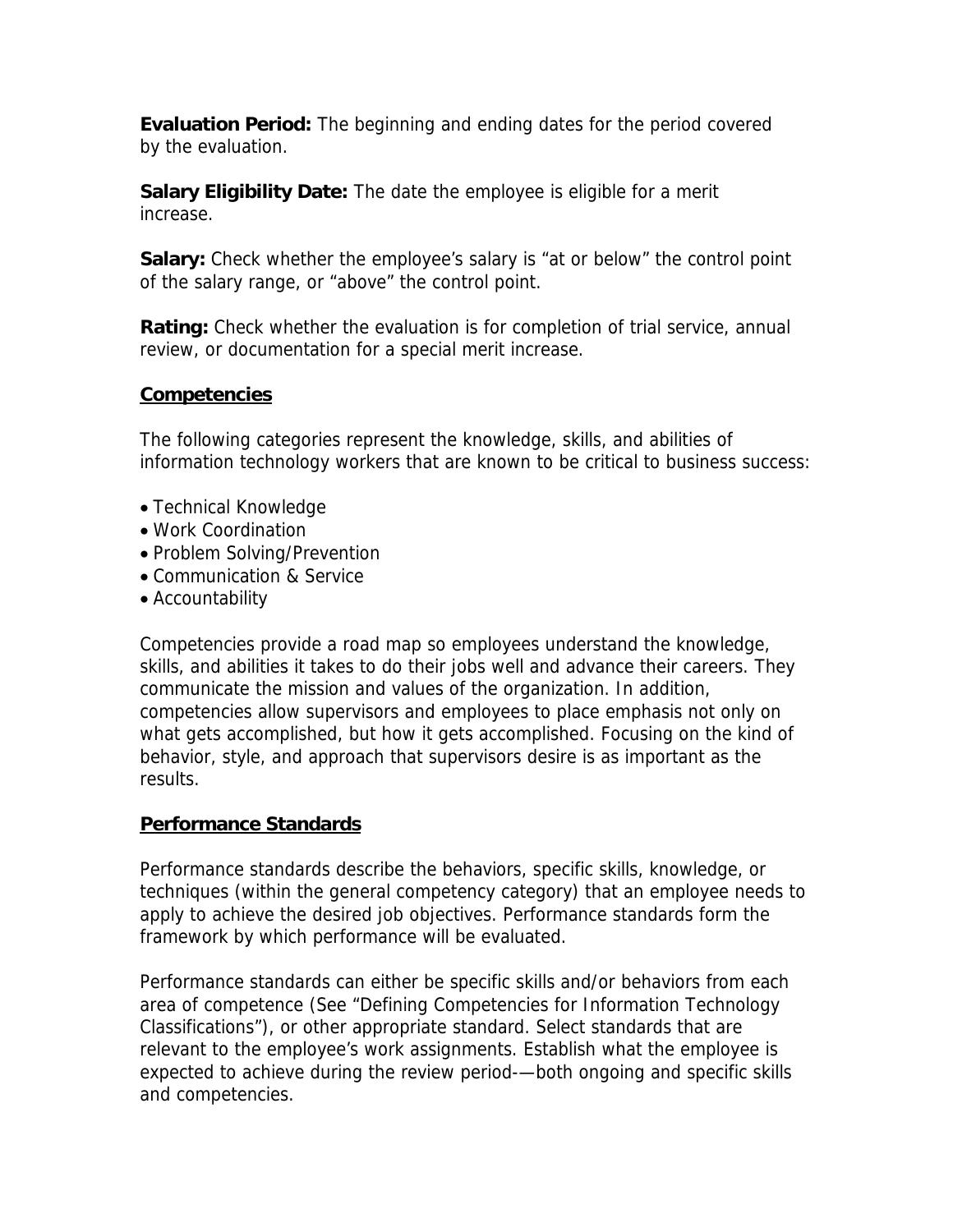**Evaluation Period:** The beginning and ending dates for the period covered by the evaluation.

**Salary Eligibility Date:** The date the employee is eligible for a merit increase.

**Salary:** Check whether the employee's salary is "at or below" the control point of the salary range, or "above" the control point.

**Rating:** Check whether the evaluation is for completion of trial service, annual review, or documentation for a special merit increase.

#### **Competencies**

The following categories represent the knowledge, skills, and abilities of information technology workers that are known to be critical to business success:

- Technical Knowledge
- Work Coordination
- Problem Solving/Prevention
- Communication & Service
- Accountability

Competencies provide a road map so employees understand the knowledge, skills, and abilities it takes to do their jobs well and advance their careers. They communicate the mission and values of the organization. In addition, competencies allow supervisors and employees to place emphasis not only on what gets accomplished, but how it gets accomplished. Focusing on the kind of behavior, style, and approach that supervisors desire is as important as the results.

### **Performance Standards**

Performance standards describe the behaviors, specific skills, knowledge, or techniques (within the general competency category) that an employee needs to apply to achieve the desired job objectives. Performance standards form the framework by which performance will be evaluated.

Performance standards can either be specific skills and/or behaviors from each area of competence (See "Defining Competencies for Information Technology Classifications"), or other appropriate standard. Select standards that are relevant to the employee's work assignments. Establish what the employee is expected to achieve during the review period-—both ongoing and specific skills and competencies.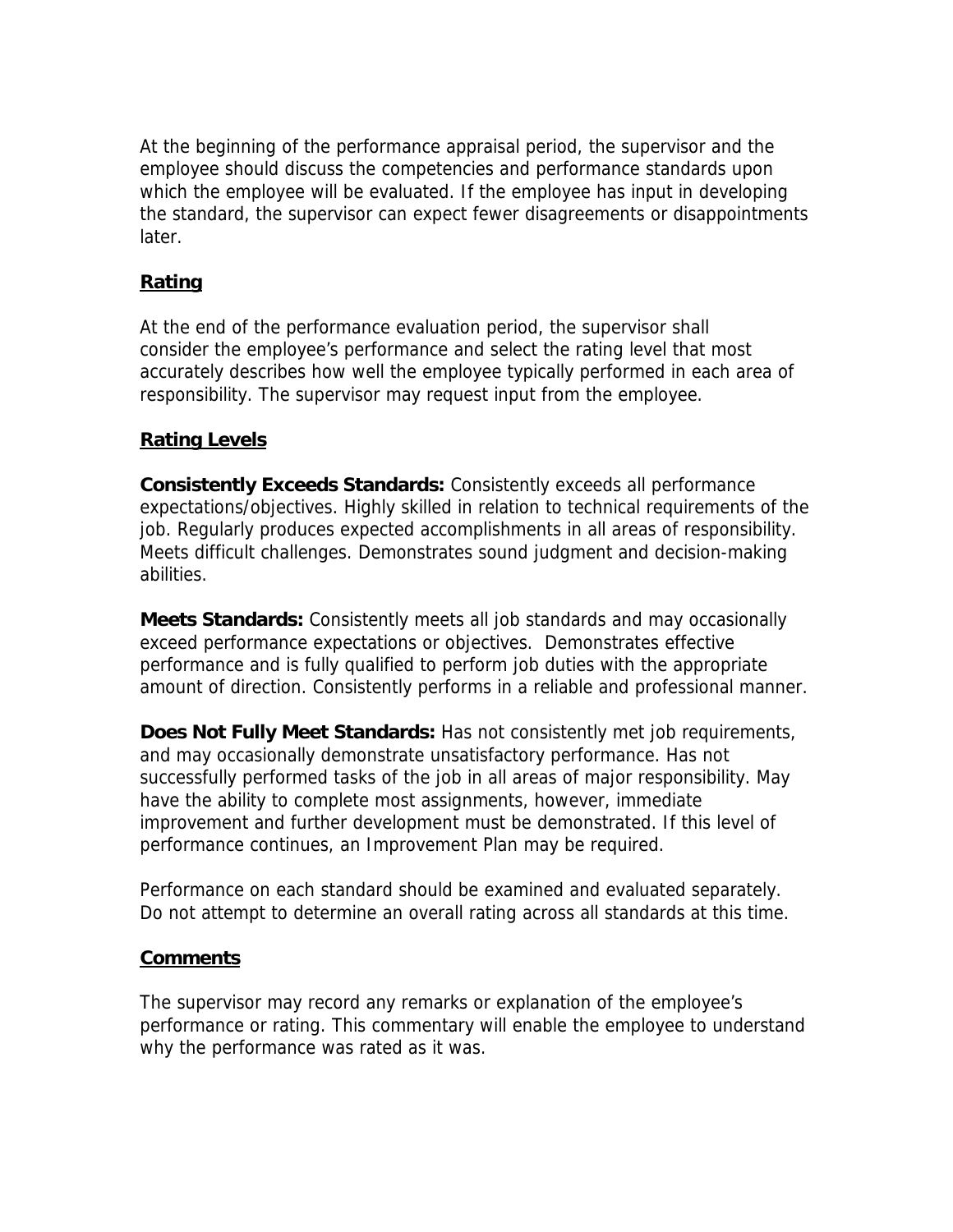At the beginning of the performance appraisal period, the supervisor and the employee should discuss the competencies and performance standards upon which the employee will be evaluated. If the employee has input in developing the standard, the supervisor can expect fewer disagreements or disappointments later.

# **Rating**

At the end of the performance evaluation period, the supervisor shall consider the employee's performance and select the rating level that most accurately describes how well the employee typically performed in each area of responsibility. The supervisor may request input from the employee.

### **Rating Levels**

**Consistently Exceeds Standards:** Consistently exceeds all performance expectations/objectives. Highly skilled in relation to technical requirements of the job. Regularly produces expected accomplishments in all areas of responsibility. Meets difficult challenges. Demonstrates sound judgment and decision-making abilities.

**Meets Standards:** Consistently meets all job standards and may occasionally exceed performance expectations or objectives. Demonstrates effective performance and is fully qualified to perform job duties with the appropriate amount of direction. Consistently performs in a reliable and professional manner.

**Does Not Fully Meet Standards:** Has not consistently met job requirements, and may occasionally demonstrate unsatisfactory performance. Has not successfully performed tasks of the job in all areas of major responsibility. May have the ability to complete most assignments, however, immediate improvement and further development must be demonstrated. If this level of performance continues, an Improvement Plan may be required.

Performance on each standard should be examined and evaluated separately. Do not attempt to determine an overall rating across all standards at this time.

### **Comments**

The supervisor may record any remarks or explanation of the employee's performance or rating. This commentary will enable the employee to understand why the performance was rated as it was.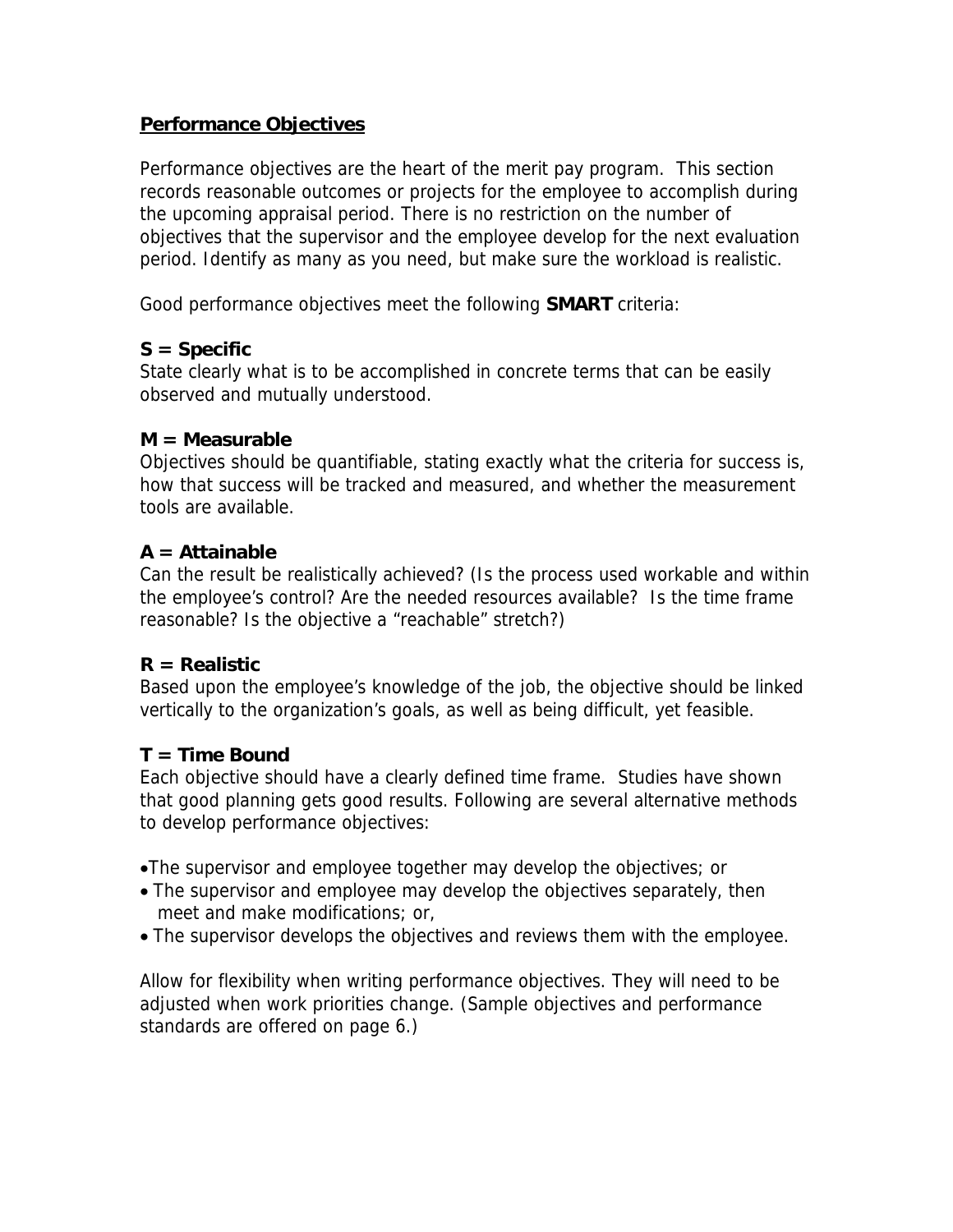### **Performance Objectives**

Performance objectives are the heart of the merit pay program. This section records reasonable outcomes or projects for the employee to accomplish during the upcoming appraisal period. There is no restriction on the number of objectives that the supervisor and the employee develop for the next evaluation period. Identify as many as you need, but make sure the workload is realistic.

Good performance objectives meet the following **SMART** criteria:

### **S = Specific**

State clearly what is to be accomplished in concrete terms that can be easily observed and mutually understood.

#### **M = Measurable**

Objectives should be quantifiable, stating exactly what the criteria for success is, how that success will be tracked and measured, and whether the measurement tools are available.

### **A = Attainable**

Can the result be realistically achieved? (Is the process used workable and within the employee's control? Are the needed resources available? Is the time frame reasonable? Is the objective a "reachable" stretch?)

### **R = Realistic**

Based upon the employee's knowledge of the job, the objective should be linked vertically to the organization's goals, as well as being difficult, yet feasible.

### **T = Time Bound**

Each objective should have a clearly defined time frame. Studies have shown that good planning gets good results. Following are several alternative methods to develop performance objectives:

•The supervisor and employee together may develop the objectives; or

- The supervisor and employee may develop the objectives separately, then meet and make modifications; or,
- The supervisor develops the objectives and reviews them with the employee.

Allow for flexibility when writing performance objectives. They will need to be adjusted when work priorities change. (Sample objectives and performance standards are offered on page 6.)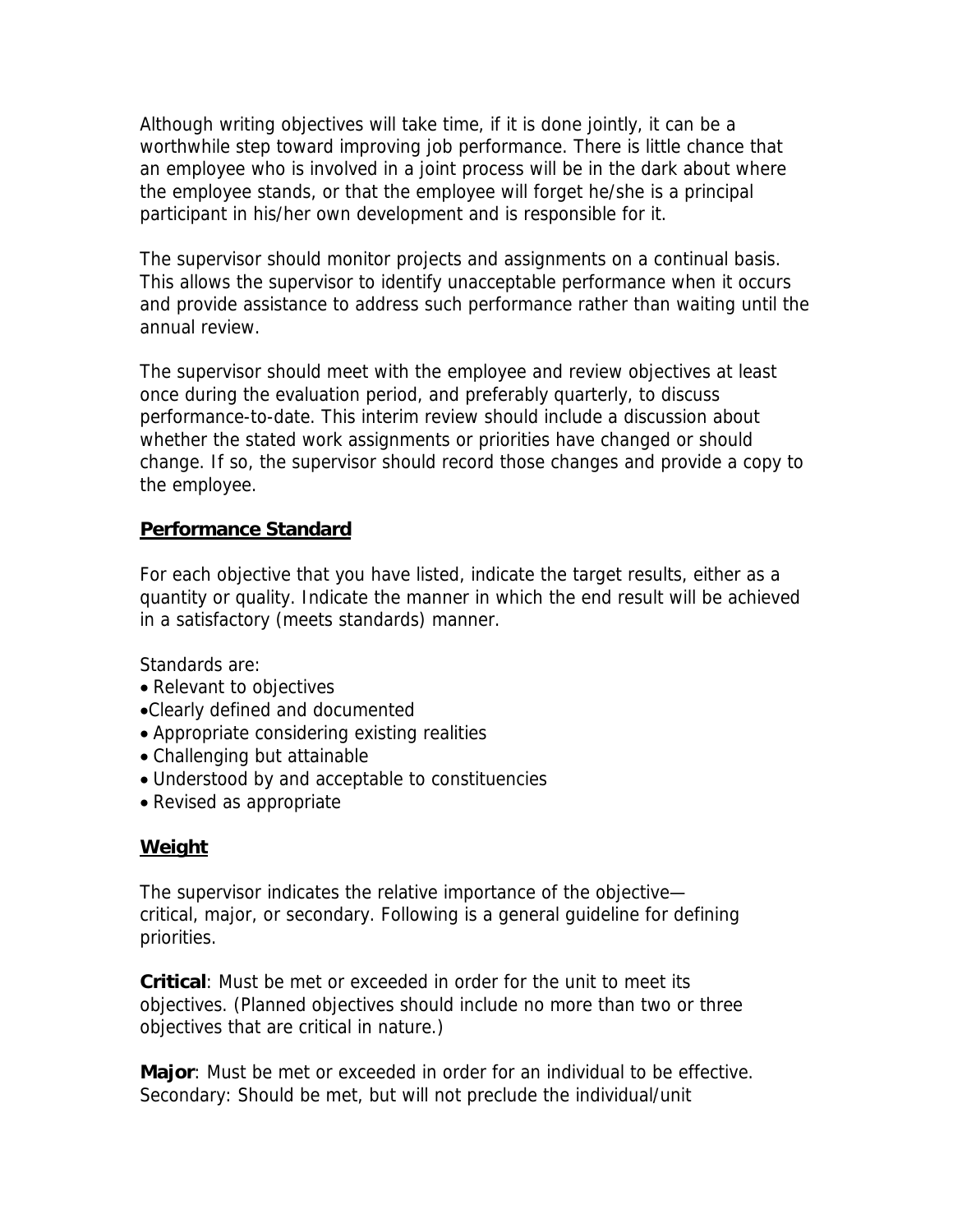Although writing objectives will take time, if it is done jointly, it can be a worthwhile step toward improving job performance. There is little chance that an employee who is involved in a joint process will be in the dark about where the employee stands, or that the employee will forget he/she is a principal participant in his/her own development and is responsible for it.

The supervisor should monitor projects and assignments on a continual basis. This allows the supervisor to identify unacceptable performance when it occurs and provide assistance to address such performance rather than waiting until the annual review.

The supervisor should meet with the employee and review objectives at least once during the evaluation period, and preferably quarterly, to discuss performance-to-date. This interim review should include a discussion about whether the stated work assignments or priorities have changed or should change. If so, the supervisor should record those changes and provide a copy to the employee.

### **Performance Standard**

For each objective that you have listed, indicate the target results, either as a quantity or quality. Indicate the manner in which the end result will be achieved in a satisfactory (meets standards) manner.

Standards are:

- Relevant to objectives
- •Clearly defined and documented
- Appropriate considering existing realities
- Challenging but attainable
- Understood by and acceptable to constituencies
- Revised as appropriate

# **Weight**

The supervisor indicates the relative importance of the objective critical, major, or secondary. Following is a general guideline for defining priorities.

**Critical**: Must be met or exceeded in order for the unit to meet its objectives. (Planned objectives should include no more than two or three objectives that are critical in nature.)

**Major**: Must be met or exceeded in order for an individual to be effective. Secondary: Should be met, but will not preclude the individual/unit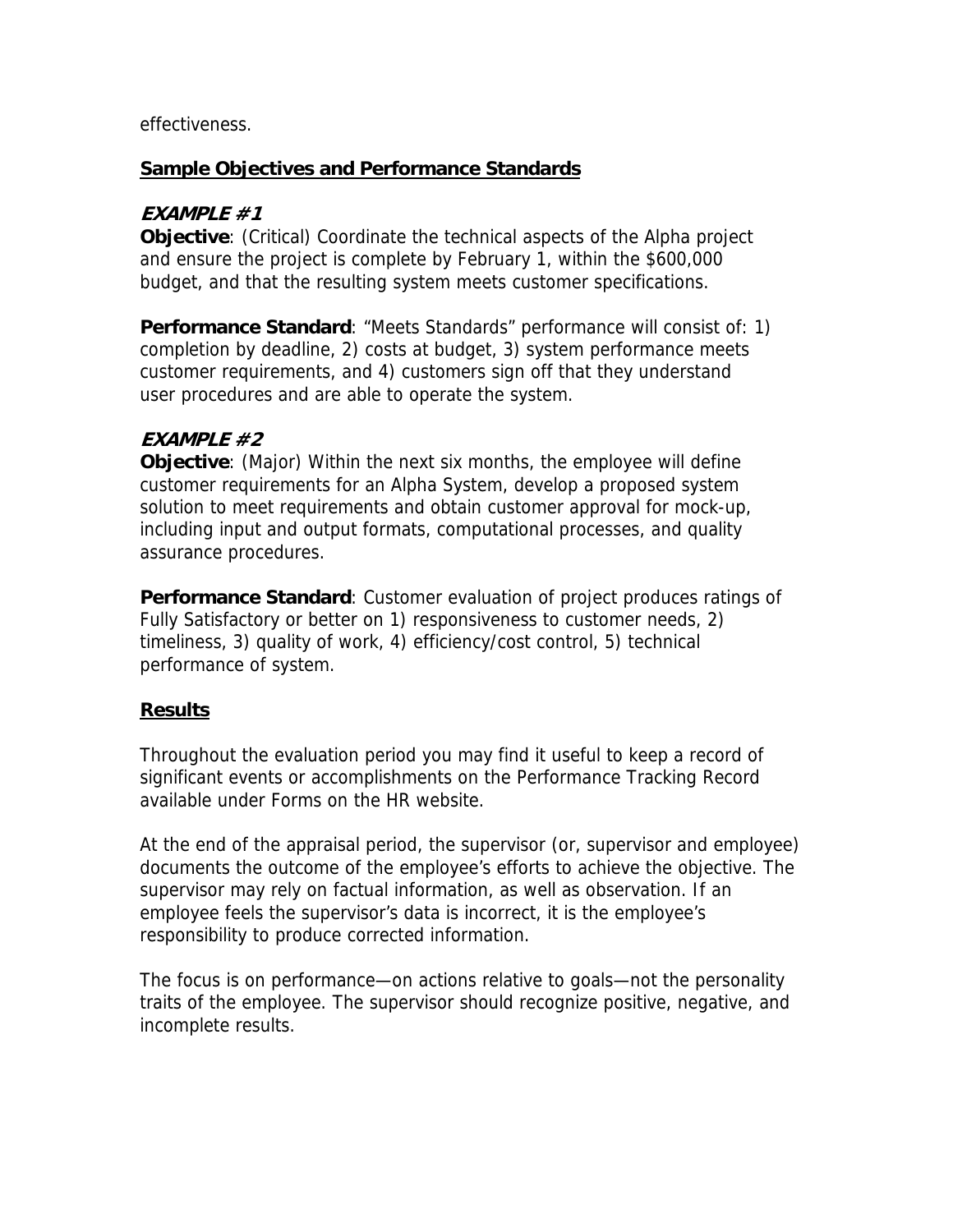effectiveness.

### **Sample Objectives and Performance Standards**

## **EXAMPLE #1**

**Objective**: (Critical) Coordinate the technical aspects of the Alpha project and ensure the project is complete by February 1, within the \$600,000 budget, and that the resulting system meets customer specifications.

**Performance Standard**: "Meets Standards" performance will consist of: 1) completion by deadline, 2) costs at budget, 3) system performance meets customer requirements, and 4) customers sign off that they understand user procedures and are able to operate the system.

# **EXAMPLE #2**

**Objective**: (Major) Within the next six months, the employee will define customer requirements for an Alpha System, develop a proposed system solution to meet requirements and obtain customer approval for mock-up, including input and output formats, computational processes, and quality assurance procedures.

**Performance Standard**: Customer evaluation of project produces ratings of Fully Satisfactory or better on 1) responsiveness to customer needs, 2) timeliness, 3) quality of work, 4) efficiency/cost control, 5) technical performance of system.

# **Results**

Throughout the evaluation period you may find it useful to keep a record of significant events or accomplishments on the Performance Tracking Record available under Forms on the HR website.

At the end of the appraisal period, the supervisor (or, supervisor and employee) documents the outcome of the employee's efforts to achieve the objective. The supervisor may rely on factual information, as well as observation. If an employee feels the supervisor's data is incorrect, it is the employee's responsibility to produce corrected information.

The focus is on performance—on actions relative to goals—not the personality traits of the employee. The supervisor should recognize positive, negative, and incomplete results.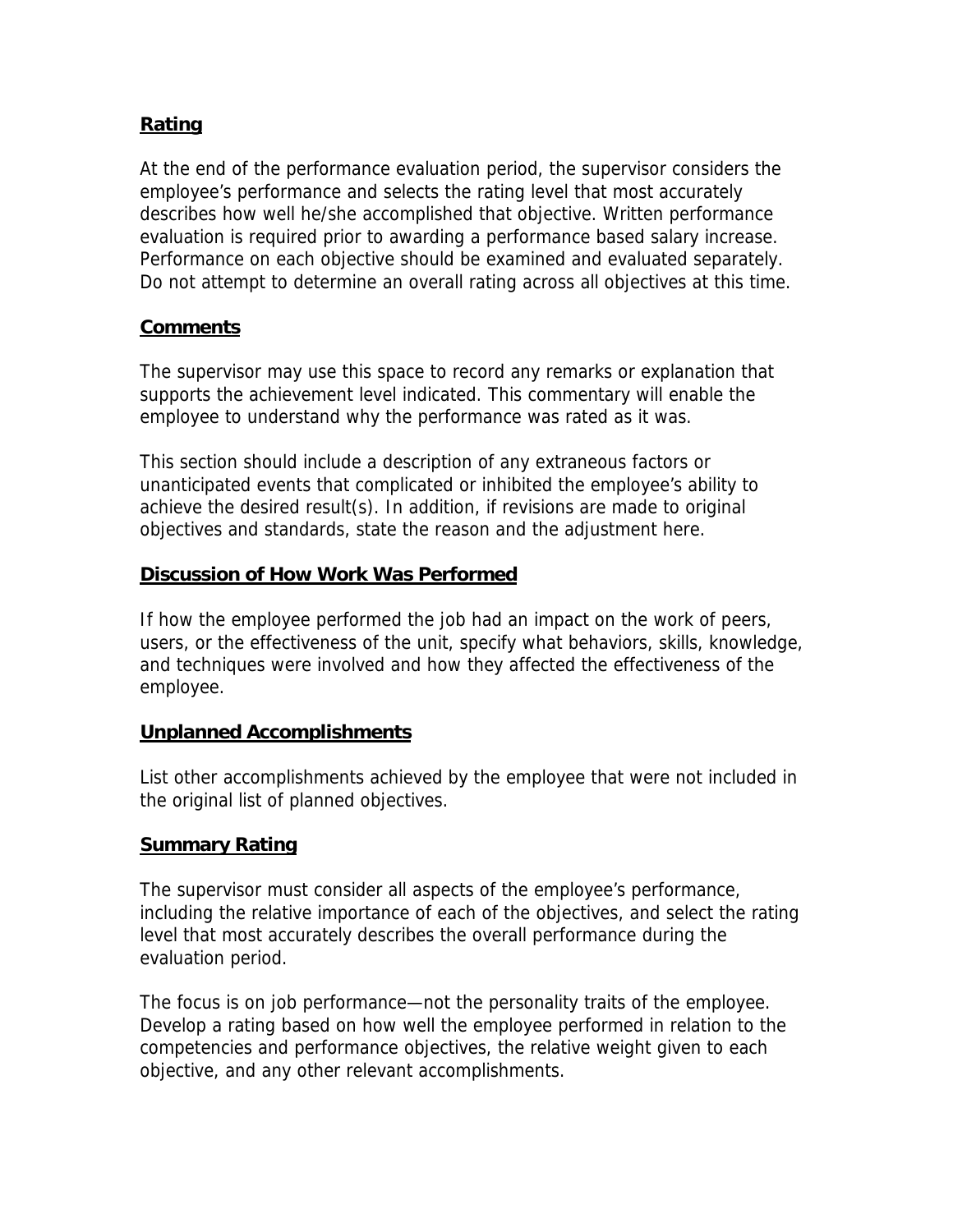## **Rating**

At the end of the performance evaluation period, the supervisor considers the employee's performance and selects the rating level that most accurately describes how well he/she accomplished that objective. Written performance evaluation is required prior to awarding a performance based salary increase. Performance on each objective should be examined and evaluated separately. Do not attempt to determine an overall rating across all objectives at this time.

#### **Comments**

The supervisor may use this space to record any remarks or explanation that supports the achievement level indicated. This commentary will enable the employee to understand why the performance was rated as it was.

This section should include a description of any extraneous factors or unanticipated events that complicated or inhibited the employee's ability to achieve the desired result(s). In addition, if revisions are made to original objectives and standards, state the reason and the adjustment here.

#### **Discussion of How Work Was Performed**

If how the employee performed the job had an impact on the work of peers, users, or the effectiveness of the unit, specify what behaviors, skills, knowledge, and techniques were involved and how they affected the effectiveness of the employee.

#### **Unplanned Accomplishments**

List other accomplishments achieved by the employee that were not included in the original list of planned objectives.

### **Summary Rating**

The supervisor must consider all aspects of the employee's performance, including the relative importance of each of the objectives, and select the rating level that most accurately describes the overall performance during the evaluation period.

The focus is on job performance—not the personality traits of the employee. Develop a rating based on how well the employee performed in relation to the competencies and performance objectives, the relative weight given to each objective, and any other relevant accomplishments.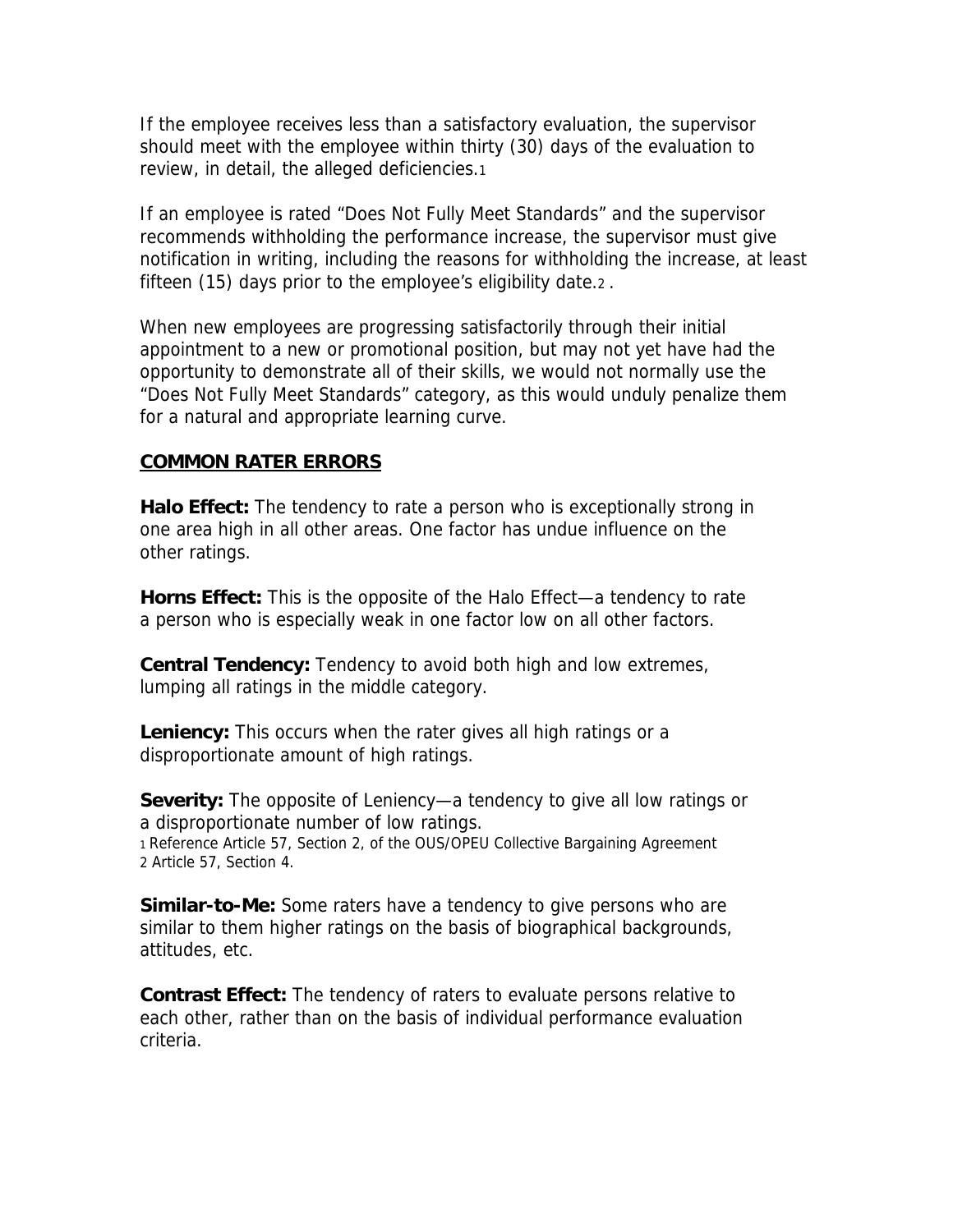If the employee receives less than a satisfactory evaluation, the supervisor should meet with the employee within thirty (30) days of the evaluation to review, in detail, the alleged deficiencies.1

If an employee is rated "Does Not Fully Meet Standards" and the supervisor recommends withholding the performance increase, the supervisor must give notification in writing, including the reasons for withholding the increase, at least fifteen (15) days prior to the employee's eligibility date.2 .

When new employees are progressing satisfactorily through their initial appointment to a new or promotional position, but may not yet have had the opportunity to demonstrate all of their skills, we would not normally use the "Does Not Fully Meet Standards" category, as this would unduly penalize them for a natural and appropriate learning curve.

#### **COMMON RATER ERRORS**

**Halo Effect:** The tendency to rate a person who is exceptionally strong in one area high in all other areas. One factor has undue influence on the other ratings.

**Horns Effect:** This is the opposite of the Halo Effect—a tendency to rate a person who is especially weak in one factor low on all other factors.

**Central Tendency:** Tendency to avoid both high and low extremes, lumping all ratings in the middle category.

**Leniency:** This occurs when the rater gives all high ratings or a disproportionate amount of high ratings.

**Severity:** The opposite of Leniency—a tendency to give all low ratings or a disproportionate number of low ratings. 1 Reference Article 57, Section 2, of the OUS/OPEU Collective Bargaining Agreement 2 Article 57, Section 4.

**Similar-to-Me:** Some raters have a tendency to give persons who are similar to them higher ratings on the basis of biographical backgrounds, attitudes, etc.

**Contrast Effect:** The tendency of raters to evaluate persons relative to each other, rather than on the basis of individual performance evaluation criteria.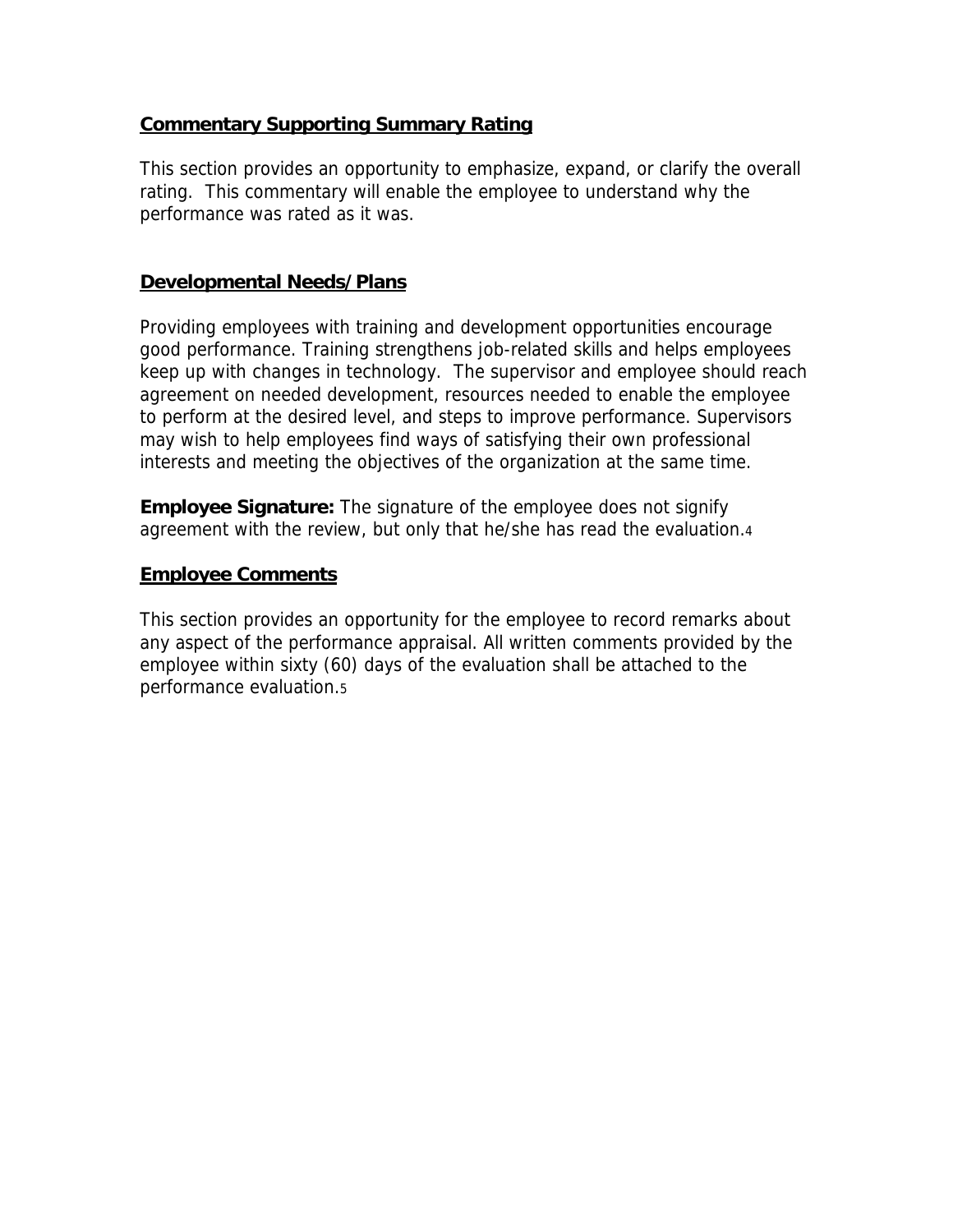#### **Commentary Supporting Summary Rating**

This section provides an opportunity to emphasize, expand, or clarify the overall rating. This commentary will enable the employee to understand why the performance was rated as it was.

#### **Developmental Needs/Plans**

Providing employees with training and development opportunities encourage good performance. Training strengthens job-related skills and helps employees keep up with changes in technology. The supervisor and employee should reach agreement on needed development, resources needed to enable the employee to perform at the desired level, and steps to improve performance. Supervisors may wish to help employees find ways of satisfying their own professional interests and meeting the objectives of the organization at the same time.

**Employee Signature:** The signature of the employee does not signify agreement with the review, but only that he/she has read the evaluation.4

#### **Employee Comments**

This section provides an opportunity for the employee to record remarks about any aspect of the performance appraisal. All written comments provided by the employee within sixty (60) days of the evaluation shall be attached to the performance evaluation.5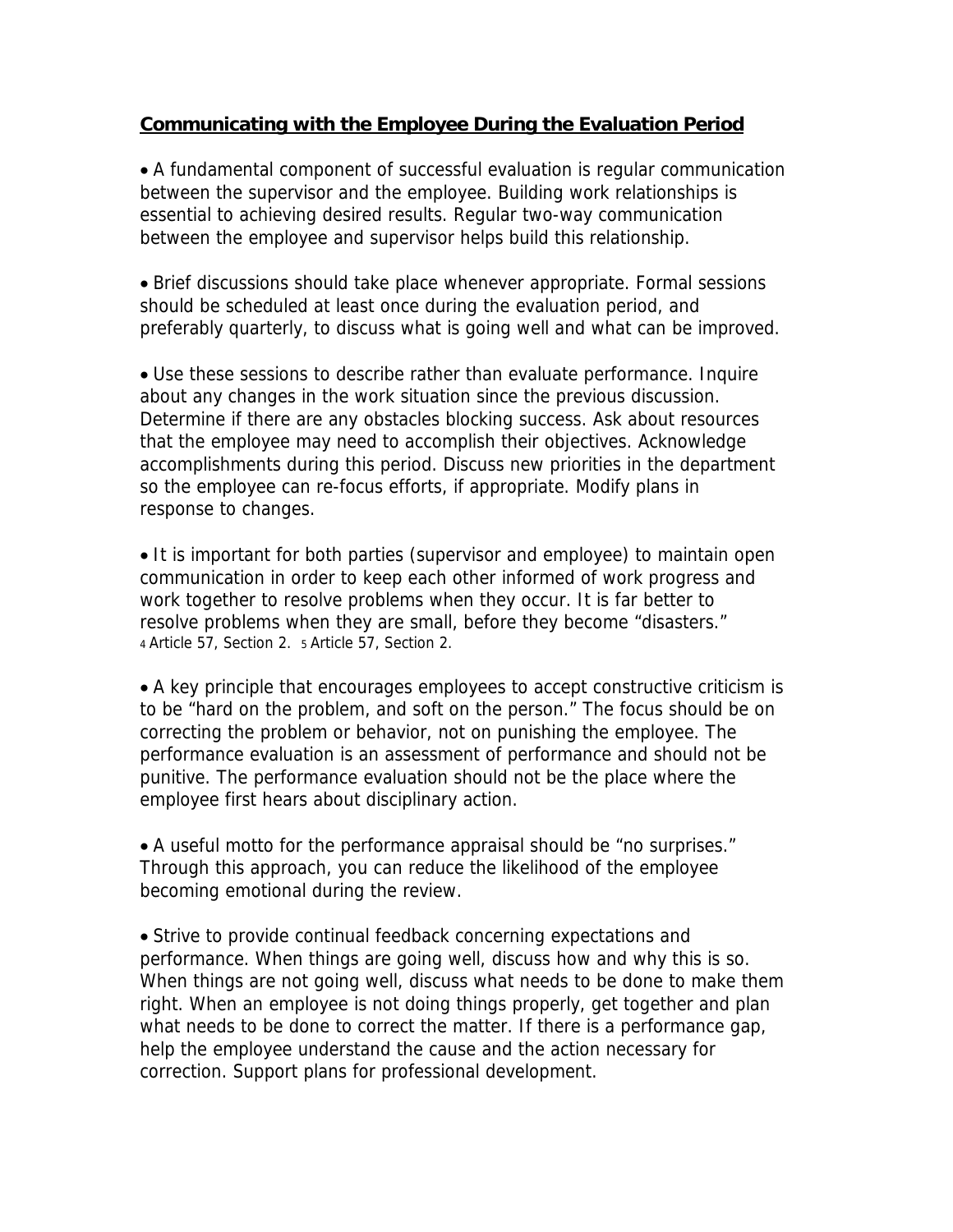#### **Communicating with the Employee During the Evaluation Period**

• A fundamental component of successful evaluation is regular communication between the supervisor and the employee. Building work relationships is essential to achieving desired results. Regular two-way communication between the employee and supervisor helps build this relationship.

• Brief discussions should take place whenever appropriate. Formal sessions should be scheduled at least once during the evaluation period, and preferably quarterly, to discuss what is going well and what can be improved.

• Use these sessions to describe rather than evaluate performance. Inquire about any changes in the work situation since the previous discussion. Determine if there are any obstacles blocking success. Ask about resources that the employee may need to accomplish their objectives. Acknowledge accomplishments during this period. Discuss new priorities in the department so the employee can re-focus efforts, if appropriate. Modify plans in response to changes.

• It is important for both parties (supervisor and employee) to maintain open communication in order to keep each other informed of work progress and work together to resolve problems when they occur. It is far better to resolve problems when they are small, before they become "disasters." 4 Article 57, Section 2. 5 Article 57, Section 2.

• A key principle that encourages employees to accept constructive criticism is to be "hard on the problem, and soft on the person." The focus should be on correcting the problem or behavior, not on punishing the employee. The performance evaluation is an assessment of performance and should not be punitive. The performance evaluation should not be the place where the employee first hears about disciplinary action.

• A useful motto for the performance appraisal should be "no surprises." Through this approach, you can reduce the likelihood of the employee becoming emotional during the review.

• Strive to provide continual feedback concerning expectations and performance. When things are going well, discuss how and why this is so. When things are not going well, discuss what needs to be done to make them right. When an employee is not doing things properly, get together and plan what needs to be done to correct the matter. If there is a performance gap, help the employee understand the cause and the action necessary for correction. Support plans for professional development.